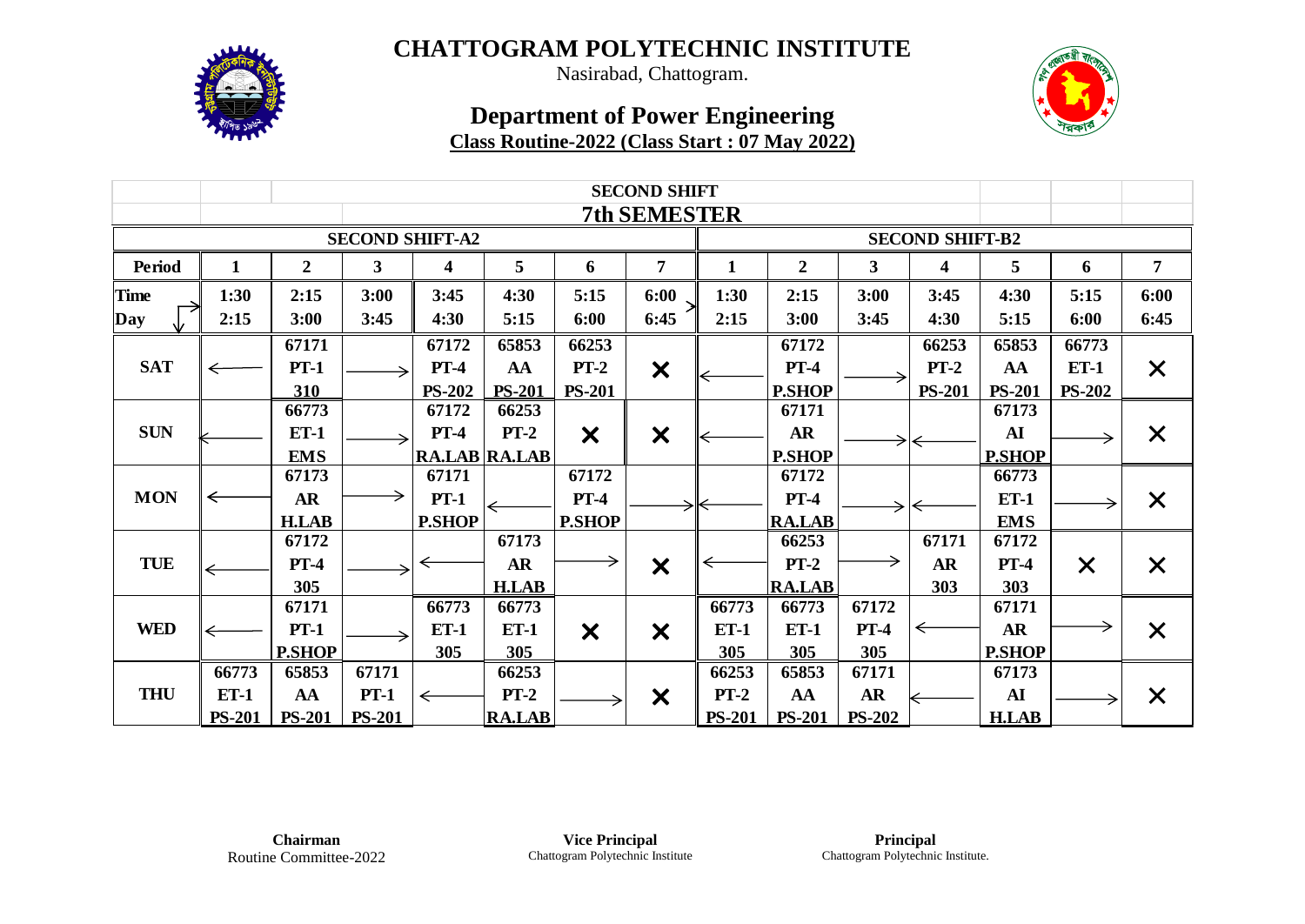

Nasirabad, Chattogram.

|                        | <b>SECOND SHIFT</b> |                |               |                         |                      |                           |                           |               |                        |               |               |               |               |                   |  |  |
|------------------------|---------------------|----------------|---------------|-------------------------|----------------------|---------------------------|---------------------------|---------------|------------------------|---------------|---------------|---------------|---------------|-------------------|--|--|
|                        | <b>7th SEMESTER</b> |                |               |                         |                      |                           |                           |               |                        |               |               |               |               |                   |  |  |
| <b>SECOND SHIFT-A2</b> |                     |                |               |                         |                      |                           |                           |               | <b>SECOND SHIFT-B2</b> |               |               |               |               |                   |  |  |
| Period                 | 1                   | $\overline{2}$ | 3             | $\overline{\mathbf{4}}$ | 5                    | 6                         | $\overline{7}$            | $\mathbf{1}$  | $\overline{2}$         | $\mathbf{3}$  | 4             | 5             | 6             | $\overline{7}$    |  |  |
| <b>Time</b>            | 1:30                | 2:15           | 3:00          | 3:45                    | 4:30                 | 5:15                      | 6:00                      | 1:30          | 2:15                   | 3:00          | 3:45          | 4:30          | 5:15          | 6:00              |  |  |
| Day                    | 2:15                | 3:00           | 3:45          | 4:30                    | 5:15                 | 6:00                      | 6:45                      | 2:15          | 3:00                   | 3:45          | 4:30          | 5:15          | 6:00          | 6:45              |  |  |
|                        |                     | 67171          |               | 67172                   | 65853                | 66253                     |                           |               | 67172                  |               | 66253         | 65853         | 66773         |                   |  |  |
| <b>SAT</b>             |                     | $PT-1$         |               | $PT-4$                  | AA                   | $PT-2$                    | $\boldsymbol{\mathsf{x}}$ |               | $PT-4$                 |               | $PT-2$        | AA            | $ET-1$        | X                 |  |  |
|                        |                     | 310            |               | <b>PS-202</b>           | <b>PS-201</b>        | <b>PS-201</b>             |                           |               | <b>P.SHOP</b>          |               | <b>PS-201</b> | <b>PS-201</b> | <b>PS-202</b> |                   |  |  |
|                        |                     | 66773          |               | 67172                   | 66253                |                           |                           |               | 67171                  |               |               | 67173         |               |                   |  |  |
| <b>SUN</b>             |                     | $ET-1$         |               | $PT-4$                  | $PT-2$               | $\boldsymbol{\mathsf{x}}$ | $\bm{x}$                  |               | <b>AR</b>              |               |               | AI            |               | X                 |  |  |
|                        |                     | <b>EMS</b>     |               |                         | <b>RA.LAB RA.LAB</b> |                           |                           |               | <b>P.SHOP</b>          |               |               | <b>P.SHOP</b> |               |                   |  |  |
|                        |                     | 67173          |               | 67171                   |                      | 67172                     |                           |               | 67172                  |               |               | 66773         |               |                   |  |  |
| <b>MON</b>             |                     | <b>AR</b>      |               | $PT-1$                  |                      | $PT-4$                    |                           |               | $PT-4$                 | →             |               | $ET-1$        |               | X                 |  |  |
|                        |                     | <b>H.LAB</b>   |               | <b>P.SHOP</b>           |                      | <b>P.SHOP</b>             |                           |               | <b>RA.LAB</b>          |               |               | <b>EMS</b>    |               |                   |  |  |
|                        |                     | 67172          |               |                         | 67173                |                           |                           |               | 66253                  |               | 67171         | 67172         |               |                   |  |  |
| <b>TUE</b>             |                     | $PT-4$         |               | ⇐                       | <b>AR</b>            | →                         | $\bm{\times}$             |               | $PT-2$                 | →             | <b>AR</b>     | $PT-4$        | $\times$      | X                 |  |  |
|                        |                     | 305            |               |                         | <b>H.LAB</b>         |                           |                           |               | <b>RA.LAB</b>          |               | 303           | 303           |               |                   |  |  |
|                        |                     | 67171          |               | 66773                   | 66773                |                           |                           | 66773         | 66773                  | 67172         |               | 67171         |               |                   |  |  |
| <b>WED</b>             |                     | $PT-1$         |               | $ET-1$                  | <b>ET-1</b>          | X                         | X                         | $ET-1$        | $ET-1$                 | $PT-4$        | ⇐             | <b>AR</b>     |               | X                 |  |  |
|                        |                     | <b>P.SHOP</b>  |               | 305                     | 305                  |                           |                           | 305           | 305                    | 305           |               | <b>P.SHOP</b> |               |                   |  |  |
|                        | 66773               | 65853          | 67171         |                         | 66253                |                           |                           | 66253         | 65853                  | 67171         |               | 67173         |               |                   |  |  |
| <b>THU</b>             | $ET-1$              | AA             | $PT-1$        | $\leftarrow$            | $PT-2$               |                           | $\boldsymbol{\mathsf{x}}$ | $PT-2$        | AA                     | <b>AR</b>     |               | AI            |               | $\bm{\mathsf{X}}$ |  |  |
|                        | <b>PS-201</b>       | <b>PS-201</b>  | <b>PS-201</b> |                         | <b>RA.LAB</b>        |                           |                           | <b>PS-201</b> | <b>PS-201</b>          | <b>PS-202</b> |               | <b>H.LAB</b>  |               |                   |  |  |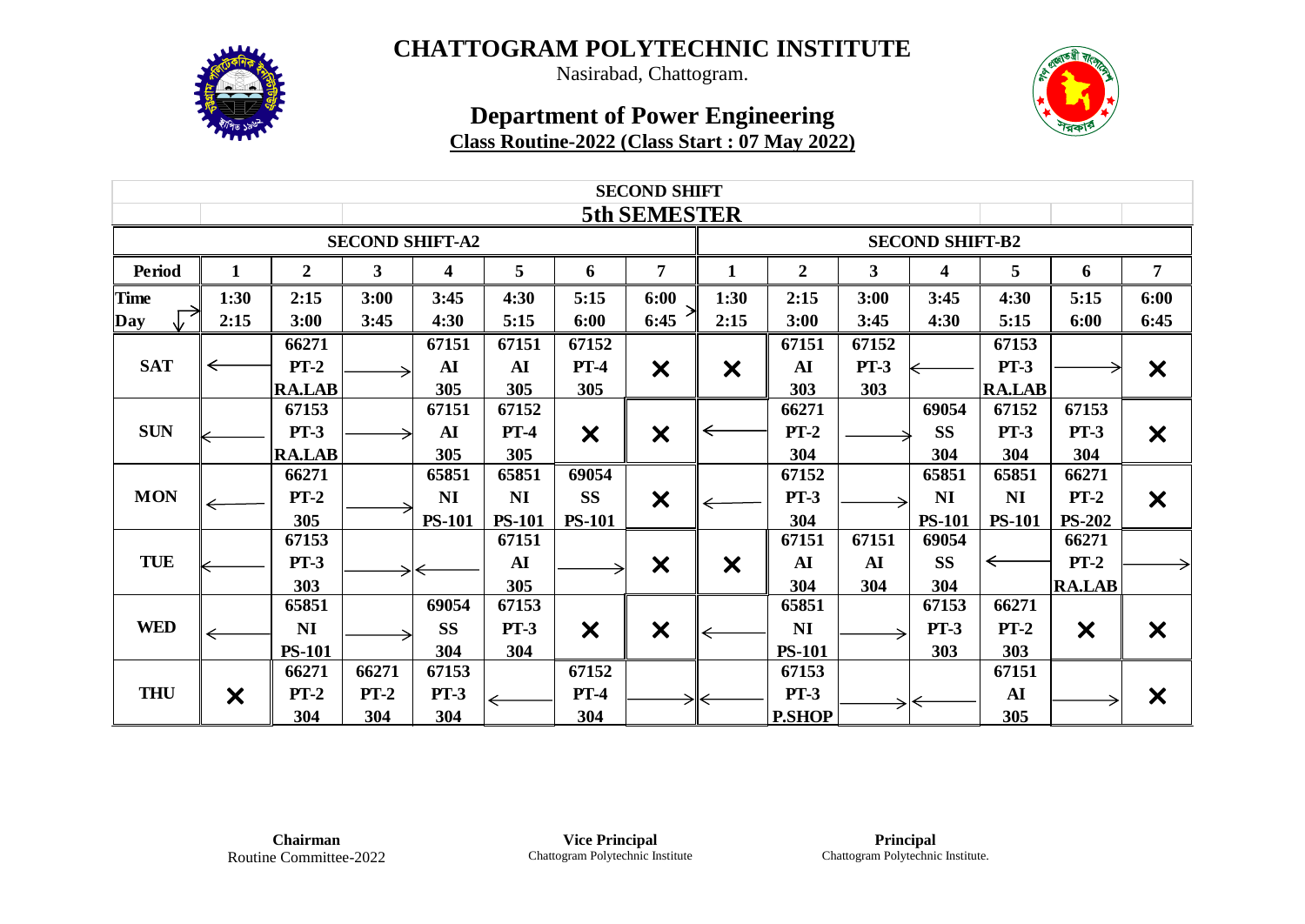

Nasirabad, Chattogram.

| <b>SECOND SHIFT</b> |                        |                  |              |                         |               |                           |                           |                           |                  |                        |                         |               |               |                           |  |  |  |
|---------------------|------------------------|------------------|--------------|-------------------------|---------------|---------------------------|---------------------------|---------------------------|------------------|------------------------|-------------------------|---------------|---------------|---------------------------|--|--|--|
|                     |                        |                  |              |                         |               |                           | <b>5th SEMESTER</b>       |                           |                  |                        |                         |               |               |                           |  |  |  |
|                     | <b>SECOND SHIFT-A2</b> |                  |              |                         |               |                           |                           |                           |                  | <b>SECOND SHIFT-B2</b> |                         |               |               |                           |  |  |  |
| Period              | 1                      | $\boldsymbol{2}$ | $\mathbf{3}$ | $\overline{\mathbf{4}}$ | 5             | 6                         | $\overline{7}$            | $\mathbf{1}$              | $\boldsymbol{2}$ | $\mathbf{3}$           | $\overline{\mathbf{4}}$ | 5             | 6             | $\overline{7}$            |  |  |  |
| <b>Time</b>         | 1:30                   | 2:15             | 3:00         | 3:45                    | 4:30          | 5:15                      | 6:00                      | 1:30                      | 2:15             | 3:00                   | 3:45                    | 4:30          | 5:15          | 6:00                      |  |  |  |
| $\sqrt{ }$<br>Day   | 2:15                   | 3:00             | 3:45         | 4:30                    | 5:15          | 6:00                      | 6:45                      | 2:15                      | 3:00             | 3:45                   | 4:30                    | 5:15          | 6:00          | 6:45                      |  |  |  |
|                     |                        | 66271            |              | 67151                   | 67151         | 67152                     |                           |                           | 67151            | 67152                  |                         | 67153         |               |                           |  |  |  |
| <b>SAT</b>          | ←                      | $PT-2$           |              | AI                      | AI            | $PT-4$                    | $\bm{x}$                  | $\boldsymbol{\mathsf{x}}$ | AI               | $PT-3$                 |                         | <b>PT-3</b>   |               | $\boldsymbol{\mathsf{x}}$ |  |  |  |
|                     |                        | <b>RA.LAB</b>    |              | 305                     | 305           | 305                       |                           |                           | 303              | 303                    |                         | <b>RA.LAB</b> |               |                           |  |  |  |
|                     |                        | 67153            |              | 67151                   | 67152         |                           |                           |                           | 66271            |                        | 69054                   | 67152         | 67153         |                           |  |  |  |
| <b>SUN</b>          |                        | $PT-3$           |              | AI                      | $PT-4$        | $\boldsymbol{\mathsf{x}}$ | $\boldsymbol{\mathsf{x}}$ | ⇐                         | $PT-2$           |                        | <b>SS</b>               | $PT-3$        | <b>PT-3</b>   | $\boldsymbol{\mathsf{X}}$ |  |  |  |
|                     |                        | <b>RA.LAB</b>    |              | 305                     | 305           |                           |                           |                           | 304              |                        | 304                     | 304           | 304           |                           |  |  |  |
|                     |                        | 66271            |              | 65851                   | 65851         | 69054                     |                           |                           | 67152            |                        | 65851                   | 65851         | 66271         |                           |  |  |  |
| <b>MON</b>          |                        | $PT-2$           |              | NI                      | NI            | <b>SS</b>                 | $\boldsymbol{\mathsf{x}}$ |                           | $PT-3$           |                        | NI                      | NI            | $PT-2$        | $\boldsymbol{\times}$     |  |  |  |
|                     |                        | 305              |              | <b>PS-101</b>           | <b>PS-101</b> | <b>PS-101</b>             |                           |                           | 304              |                        | <b>PS-101</b>           | <b>PS-101</b> | <b>PS-202</b> |                           |  |  |  |
|                     |                        | 67153            |              |                         | 67151         |                           |                           |                           | 67151            | 67151                  | 69054                   |               | 66271         |                           |  |  |  |
| <b>TUE</b>          |                        | $PT-3$           |              |                         | AI            |                           | $\bm{\times}$             | $\boldsymbol{\mathsf{x}}$ | AI               | AI                     | <b>SS</b>               | ←             | $PT-2$        |                           |  |  |  |
|                     |                        | 303              |              |                         | 305           |                           |                           |                           | 304              | 304                    | 304                     |               | <b>RA.LAB</b> |                           |  |  |  |
|                     |                        | 65851            |              | 69054                   | 67153         |                           |                           |                           | 65851            |                        | 67153                   | 66271         |               |                           |  |  |  |
| <b>WED</b>          | ←                      | <b>NI</b>        |              | <b>SS</b>               | $PT-3$        | $\bm{x}$                  | X                         |                           | NI               |                        | <b>PT-3</b>             | $PT-2$        | $\bm{x}$      | $\boldsymbol{\mathsf{X}}$ |  |  |  |
|                     |                        | <b>PS-101</b>    |              | 304                     | 304           |                           |                           |                           | <b>PS-101</b>    |                        | 303                     | 303           |               |                           |  |  |  |
|                     |                        | 66271            | 66271        | 67153                   |               | 67152                     |                           |                           | 67153            |                        |                         | 67151         |               |                           |  |  |  |
| <b>THU</b>          | X                      | $PT-2$           | $PT-2$       | $PT-3$                  | $\leftarrow$  | $PT-4$                    |                           |                           | $PT-3$           |                        |                         | <b>AI</b>     |               | $\boldsymbol{\mathsf{X}}$ |  |  |  |
|                     |                        | 304              | 304          | 304                     |               | 304                       |                           |                           | <b>P.SHOP</b>    |                        |                         | 305           |               |                           |  |  |  |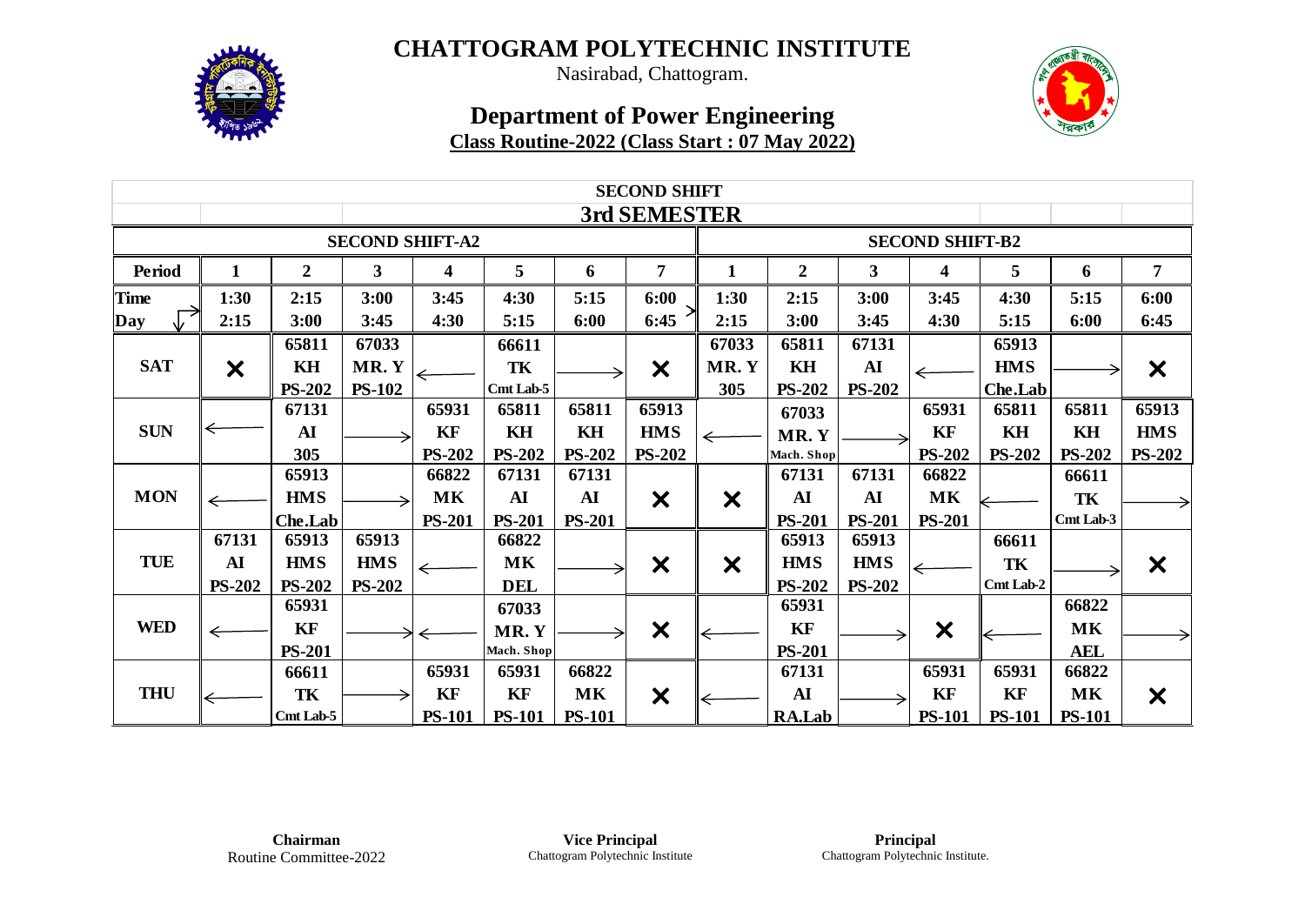

Nasirabad, Chattogram.

| <b>SECOND SHIFT</b> |                           |                  |               |               |               |               |                           |                           |                        |               |                           |               |               |                           |  |  |  |
|---------------------|---------------------------|------------------|---------------|---------------|---------------|---------------|---------------------------|---------------------------|------------------------|---------------|---------------------------|---------------|---------------|---------------------------|--|--|--|
|                     |                           |                  |               |               |               |               | 3rd SEMESTER              |                           |                        |               |                           |               |               |                           |  |  |  |
|                     | <b>SECOND SHIFT-A2</b>    |                  |               |               |               |               |                           |                           | <b>SECOND SHIFT-B2</b> |               |                           |               |               |                           |  |  |  |
| <b>Period</b>       | $\mathbf{1}$              | $\boldsymbol{2}$ | $\mathbf{3}$  | 4             | 5             | 6             | $\overline{7}$            | $\mathbf{1}$              | $\boldsymbol{2}$       | $\mathbf{3}$  | 4                         | 5             | 6             | $\overline{7}$            |  |  |  |
| <b>Time</b>         | 1:30                      | 2:15             | 3:00          | 3:45          | 4:30          | 5:15          | 6:00                      | 1:30                      | 2:15                   | 3:00          | 3:45                      | 4:30          | 5:15          | 6:00                      |  |  |  |
| Day                 | 2:15                      | 3:00             | 3:45          | 4:30          | 5:15          | 6:00          | 6:45                      | 2:15                      | 3:00                   | 3:45          | 4:30                      | 5:15          | 6:00          | 6:45                      |  |  |  |
|                     |                           | 65811            | 67033         |               | 66611         |               |                           | 67033                     | 65811                  | 67131         |                           | 65913         |               |                           |  |  |  |
| <b>SAT</b>          | $\boldsymbol{\mathsf{X}}$ | KH               | MR.Y          |               | TK            |               | $\boldsymbol{\mathsf{x}}$ | MR.Y                      | KH                     | AI            |                           | <b>HMS</b>    |               | $\boldsymbol{\mathsf{x}}$ |  |  |  |
|                     |                           | <b>PS-202</b>    | <b>PS-102</b> |               | Cmt Lab-5     |               |                           | 305                       | <b>PS-202</b>          | <b>PS-202</b> |                           | Che.Lab       |               |                           |  |  |  |
|                     |                           | 67131            |               | 65931         | 65811         | 65811         | 65913                     |                           | 67033                  |               | 65931                     | 65811         | 65811         | 65913                     |  |  |  |
| <b>SUN</b>          | ⇐                         | AI               |               | KF            | KH            | KH            | <b>HMS</b>                | $\Leftarrow$              | MR.Y                   |               | KF                        | KH            | KH            | <b>HMS</b>                |  |  |  |
|                     |                           | 305              |               | <b>PS-202</b> | <b>PS-202</b> | <b>PS-202</b> | <b>PS-202</b>             |                           | Mach. Shop             |               | <b>PS-202</b>             | <b>PS-202</b> | <b>PS-202</b> | <b>PS-202</b>             |  |  |  |
|                     |                           | 65913            |               | 66822         | 67131         | 67131         |                           |                           | 67131                  | 67131         | 66822                     |               | 66611         |                           |  |  |  |
| <b>MON</b>          | ⇐                         | <b>HMS</b>       |               | MK            | ${\bf AI}$    | <b>AI</b>     | $\bm{x}$                  | $\boldsymbol{\mathsf{x}}$ | AI                     | AI            | MK                        |               | TK            |                           |  |  |  |
|                     |                           | Che.Lab          |               | <b>PS-201</b> | <b>PS-201</b> | <b>PS-201</b> |                           |                           | <b>PS-201</b>          | <b>PS-201</b> | <b>PS-201</b>             |               | Cmt Lab-3     |                           |  |  |  |
|                     | 67131                     | 65913            | 65913         |               | 66822         |               |                           |                           | 65913                  | 65913         |                           | 66611         |               |                           |  |  |  |
| <b>TUE</b>          | ${\bf AI}$                | <b>HMS</b>       | <b>HMS</b>    | ←             | $\mathbf{MK}$ |               | $\boldsymbol{\mathsf{x}}$ | $\boldsymbol{\mathsf{X}}$ | <b>HMS</b>             | <b>HMS</b>    |                           | TK            |               | $\bm{\times}$             |  |  |  |
|                     | <b>PS-202</b>             | <b>PS-202</b>    | <b>PS-202</b> |               | <b>DEL</b>    |               |                           |                           | <b>PS-202</b>          | <b>PS-202</b> |                           | Cmt Lab-2     |               |                           |  |  |  |
|                     |                           | 65931            |               |               | 67033         |               |                           |                           | 65931                  |               |                           |               | 66822         |                           |  |  |  |
| <b>WED</b>          | ←                         | KF               |               |               | MR.Y          |               | $\boldsymbol{\mathsf{x}}$ |                           | KF                     |               | $\boldsymbol{\mathsf{x}}$ |               | MK            |                           |  |  |  |
|                     |                           | <b>PS-201</b>    |               |               | Mach. Shop    |               |                           |                           | <b>PS-201</b>          |               |                           |               | <b>AEL</b>    |                           |  |  |  |
|                     |                           | 66611            |               | 65931         | 65931         | 66822         |                           |                           | 67131                  |               | 65931                     | 65931         | 66822         |                           |  |  |  |
| <b>THU</b>          |                           | TK               |               | KF            | KF            | <b>MK</b>     | X                         |                           | ${\bf AI}$             |               | KF                        | KF            | MK            | $\boldsymbol{\mathsf{X}}$ |  |  |  |
|                     |                           | Cmt Lab-5        |               | <b>PS-101</b> | <b>PS-101</b> | <b>PS-101</b> |                           |                           | RA.Lab                 |               | <b>PS-101</b>             | <b>PS-101</b> | <b>PS-101</b> |                           |  |  |  |